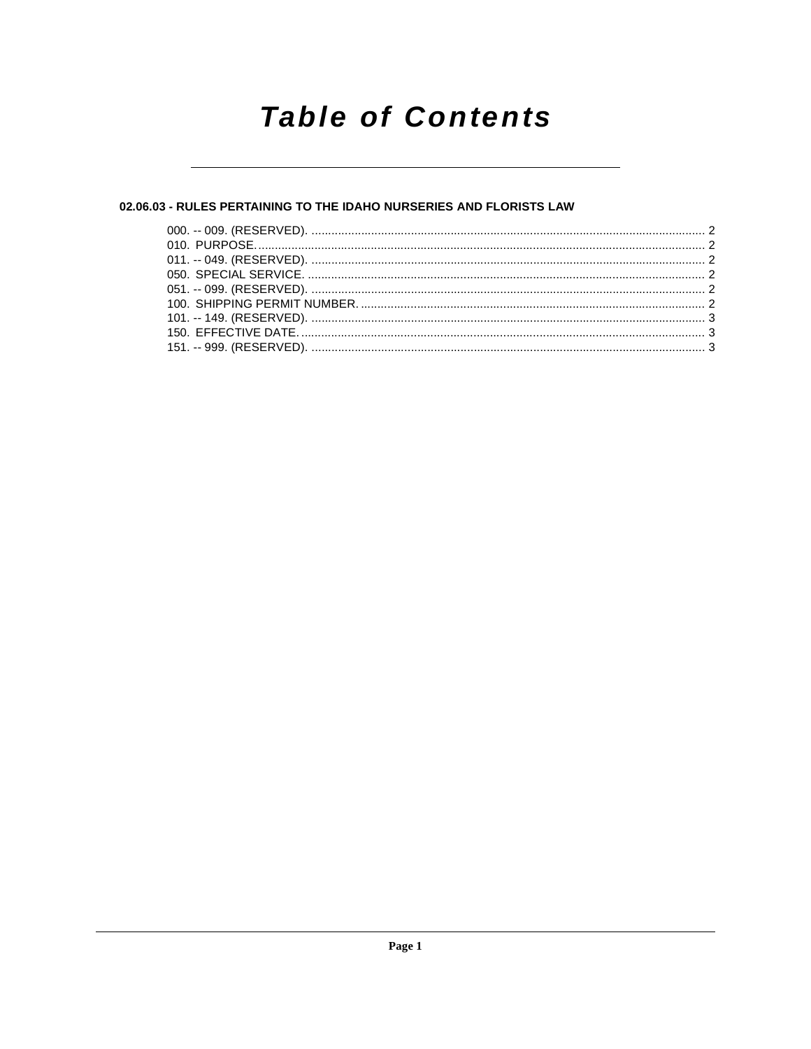# **Table of Contents**

# 02.06.03 - RULES PERTAINING TO THE IDAHO NURSERIES AND FLORISTS LAW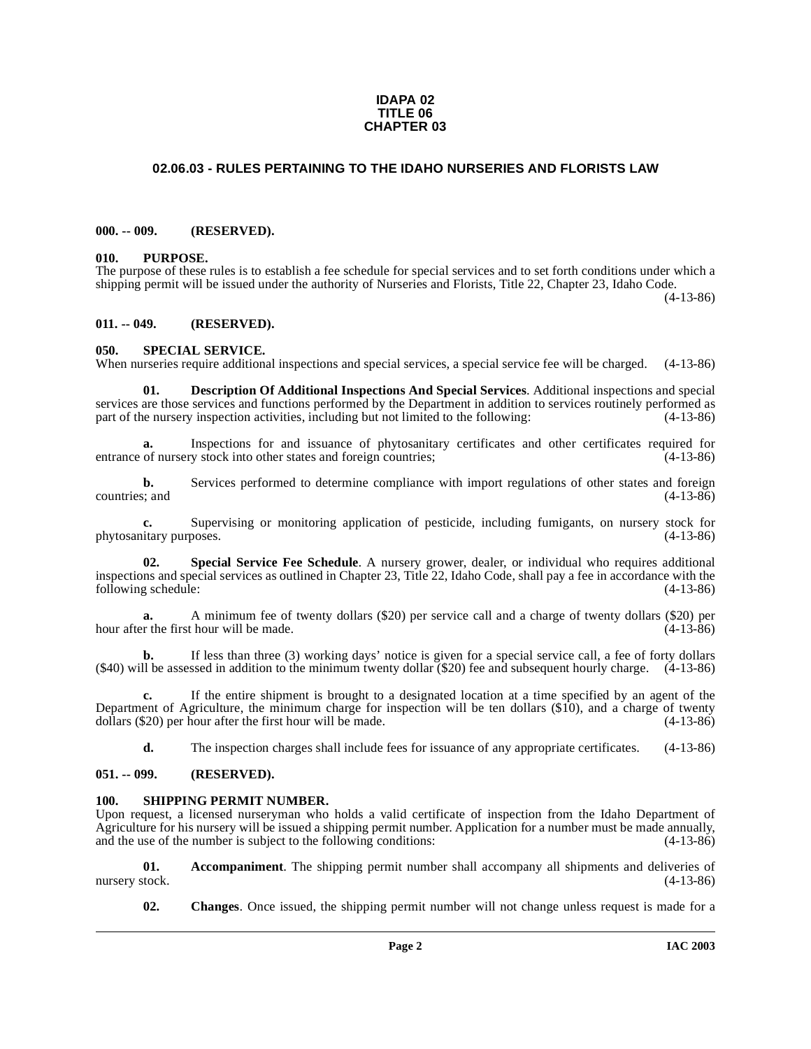#### **IDAPA 02 TITLE 06 CHAPTER 03**

# <span id="page-1-0"></span>**02.06.03 - RULES PERTAINING TO THE IDAHO NURSERIES AND FLORISTS LAW**

#### <span id="page-1-1"></span>**000. -- 009. (RESERVED).**

#### <span id="page-1-2"></span>**010. PURPOSE.**

The purpose of these rules is to establish a fee schedule for special services and to set forth conditions under which a shipping permit will be issued under the authority of Nurseries and Florists, Title 22, Chapter 23, Idaho Code.

(4-13-86)

#### <span id="page-1-3"></span>**011. -- 049. (RESERVED).**

#### <span id="page-1-12"></span><span id="page-1-4"></span>**050. SPECIAL SERVICE.**

When nurseries require additional inspections and special services, a special service fee will be charged. (4-13-86)

<span id="page-1-9"></span>**01. Description Of Additional Inspections And Special Services**. Additional inspections and special services are those services and functions performed by the Department in addition to services routinely performed as part of the nursery inspection activities, including but not limited to the following:  $(4-13-86)$ part of the nursery inspection activities, including but not limited to the following:

**a.** Inspections for and issuance of phytosanitary certificates and other certificates required for entrance of nursery stock into other states and foreign countries; (4-13-86)

**b.** Services performed to determine compliance with import regulations of other states and foreign  $(4-13-86)$ countries; and

**c.** Supervising or monitoring application of pesticide, including fumigants, on nursery stock for itary purposes. (4-13-86) phytosanitary purposes.

<span id="page-1-11"></span>**02. Special Service Fee Schedule**. A nursery grower, dealer, or individual who requires additional inspections and special services as outlined in Chapter 23, Title 22, Idaho Code, shall pay a fee in accordance with the following schedule:

**a.** A minimum fee of twenty dollars (\$20) per service call and a charge of twenty dollars (\$20) per hour after the first hour will be made. (4-13-86)

**b.** If less than three (3) working days' notice is given for a special service call, a fee of forty dollars (\$40) will be assessed in addition to the minimum twenty dollar (\$20) fee and subsequent hourly charge. (4-13-86)

**c.** If the entire shipment is brought to a designated location at a time specified by an agent of the Department of Agriculture, the minimum charge for inspection will be ten dollars (\$10), and a charge of twenty dollars (\$20) per hour after the first hour will be made.  $(4-13-86)$ dollars (\$20) per hour after the first hour will be made.

<span id="page-1-10"></span>**d.** The inspection charges shall include fees for issuance of any appropriate certificates. (4-13-86)

### <span id="page-1-5"></span>**051. -- 099. (RESERVED).**

#### <span id="page-1-6"></span>**100. SHIPPING PERMIT NUMBER.**

Upon request, a licensed nurseryman who holds a valid certificate of inspection from the Idaho Department of Agriculture for his nursery will be issued a shipping permit number. Application for a number must be made annually, and the use of the number is subject to the following conditions: (4-13-86)

**01.** Accompaniment. The shipping permit number shall accompany all shipments and deliveries of took. (4-13-86) nursery stock.

<span id="page-1-8"></span><span id="page-1-7"></span>**02. Changes**. Once issued, the shipping permit number will not change unless request is made for a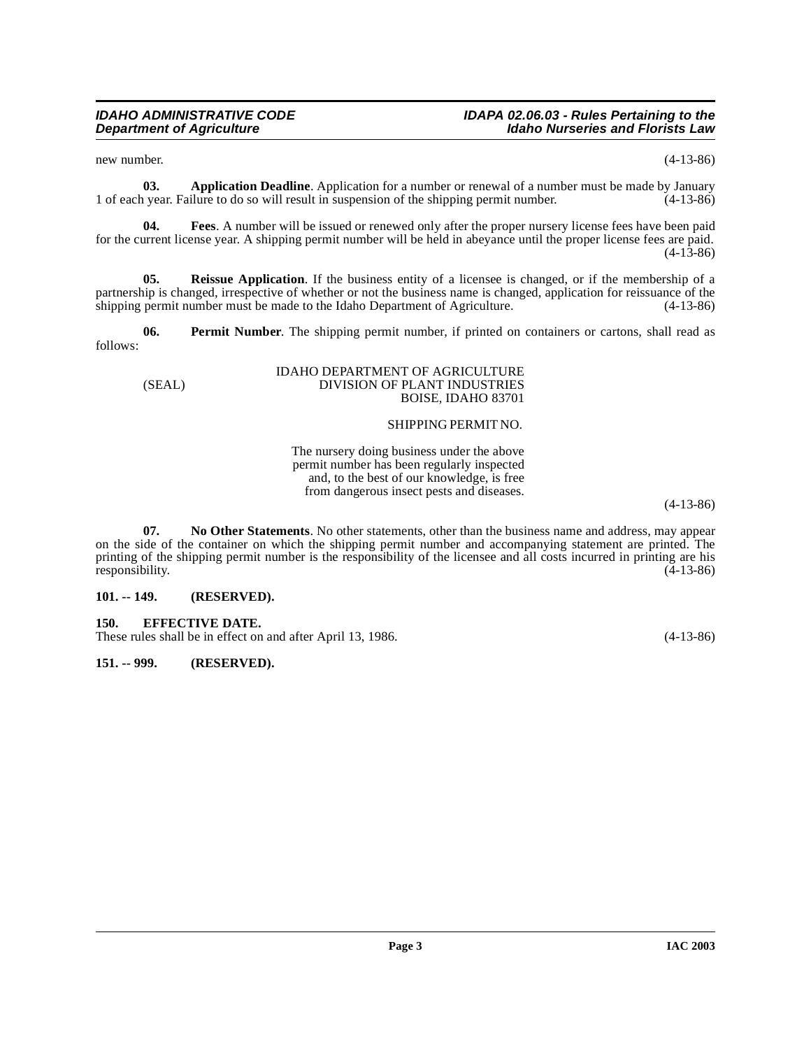<span id="page-2-3"></span>new number. (4-13-86)

**03. Application Deadline**. Application for a number or renewal of a number must be made by January vear. Failure to do so will result in suspension of the shipping permit number. (4-13-86) 1 of each year. Failure to do so will result in suspension of the shipping permit number. (4-13-86)

<span id="page-2-4"></span>**04. Fees**. A number will be issued or renewed only after the proper nursery license fees have been paid for the current license year. A shipping permit number will be held in abeyance until the proper license fees are paid. (4-13-86)

<span id="page-2-7"></span>**05. Reissue Application**. If the business entity of a licensee is changed, or if the membership of a partnership is changed, irrespective of whether or not the business name is changed, application for reissuance of the shipping permit number must be made to the Idaho Department of Agriculture. (4-13-86) shipping permit number must be made to the Idaho Department of Agriculture.

**06. Permit Number**. The shipping permit number, if printed on containers or cartons, shall read as follows:

#### <span id="page-2-6"></span>IDAHO DEPARTMENT OF AGRICULTURE (SEAL) DIVISION OF PLANT INDUSTRIES BOISE, IDAHO 83701

### SHIPPING PERMIT NO.

The nursery doing business under the above permit number has been regularly inspected and, to the best of our knowledge, is free from dangerous insect pests and diseases.

(4-13-86)

<span id="page-2-5"></span>**07. No Other Statements**. No other statements, other than the business name and address, may appear on the side of the container on which the shipping permit number and accompanying statement are printed. The printing of the shipping permit number is the responsibility of the licensee and all costs incurred in printing are his responsibility. (4-13-86) responsibility.

#### <span id="page-2-0"></span>**101. -- 149. (RESERVED).**

<span id="page-2-1"></span>**150. EFFECTIVE DATE.** 

These rules shall be in effect on and after April 13, 1986. (4-13-86)

<span id="page-2-2"></span>**151. -- 999. (RESERVED).**